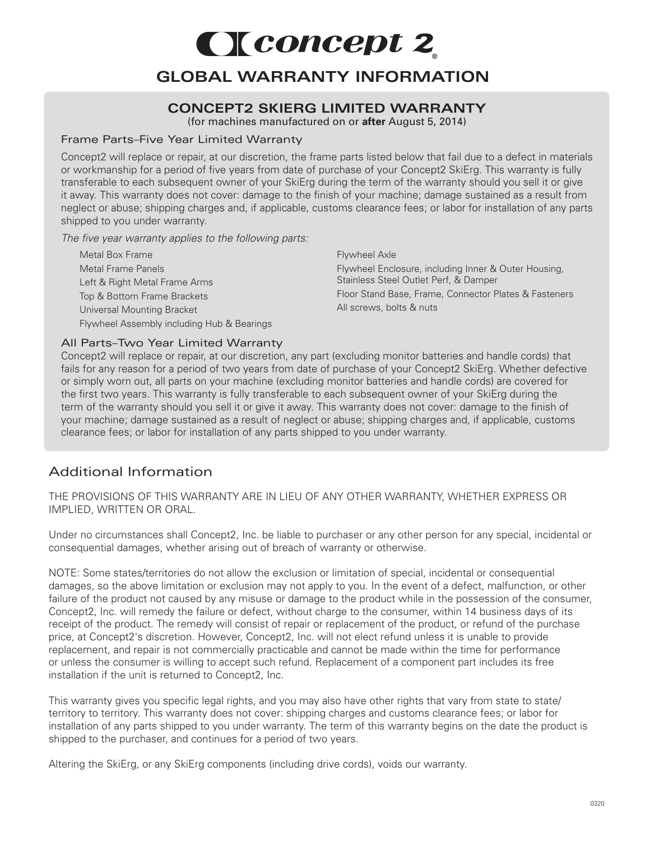# Cleoncept 2

## **GLOBAL WARRANTY INFORMATION**

### **CONCEPT2 SKIERG LIMITED WARRANTY**

(for machines manufactured on or **after** August 5, 2014)

#### Frame Parts–Five Year Limited Warranty

Concept2 will replace or repair, at our discretion, the frame parts listed below that fail due to a defect in materials or workmanship for a period of five years from date of purchase of your Concept2 SkiErg. This warranty is fully transferable to each subsequent owner of your SkiErg during the term of the warranty should you sell it or give it away. This warranty does not cover: damage to the finish of your machine; damage sustained as a result from neglect or abuse; shipping charges and, if applicable, customs clearance fees; or labor for installation of any parts shipped to you under warranty.

*The five year warranty applies to the following parts:* 

Metal Box Frame Metal Frame Panels Left & Right Metal Frame Arms Top & Bottom Frame Brackets Universal Mounting Bracket Flywheel Assembly including Hub & Bearings Flywheel Axle

Flywheel Enclosure, including Inner & Outer Housing, Stainless Steel Outlet Perf, & Damper Floor Stand Base, Frame, Connector Plates & Fasteners All screws, bolts & nuts

#### All Parts–Two Year Limited Warranty

Concept2 will replace or repair, at our discretion, any part (excluding monitor batteries and handle cords) that fails for any reason for a period of two years from date of purchase of your Concept2 SkiErg. Whether defective or simply worn out, all parts on your machine (excluding monitor batteries and handle cords) are covered for the first two years. This warranty is fully transferable to each subsequent owner of your SkiErg during the term of the warranty should you sell it or give it away. This warranty does not cover: damage to the finish of your machine; damage sustained as a result of neglect or abuse; shipping charges and, if applicable, customs clearance fees; or labor for installation of any parts shipped to you under warranty.

## Additional Information

THE PROVISIONS OF THIS WARRANTY ARE IN LIEU OF ANY OTHER WARRANTY, WHETHER EXPRESS OR IMPLIED, WRITTEN OR ORAL.

Under no circumstances shall Concept2, Inc. be liable to purchaser or any other person for any special, incidental or consequential damages, whether arising out of breach of warranty or otherwise.

NOTE: Some states/territories do not allow the exclusion or limitation of special, incidental or consequential damages, so the above limitation or exclusion may not apply to you. In the event of a defect, malfunction, or other failure of the product not caused by any misuse or damage to the product while in the possession of the consumer, Concept2, Inc. will remedy the failure or defect, without charge to the consumer, within 14 business days of its receipt of the product. The remedy will consist of repair or replacement of the product, or refund of the purchase price, at Concept2's discretion. However, Concept2, Inc. will not elect refund unless it is unable to provide replacement, and repair is not commercially practicable and cannot be made within the time for performance or unless the consumer is willing to accept such refund. Replacement of a component part includes its free installation if the unit is returned to Concept2, Inc.

This warranty gives you specific legal rights, and you may also have other rights that vary from state to state/ territory to territory. This warranty does not cover: shipping charges and customs clearance fees; or labor for installation of any parts shipped to you under warranty. The term of this warranty begins on the date the product is shipped to the purchaser, and continues for a period of two years.

Altering the SkiErg, or any SkiErg components (including drive cords), voids our warranty.